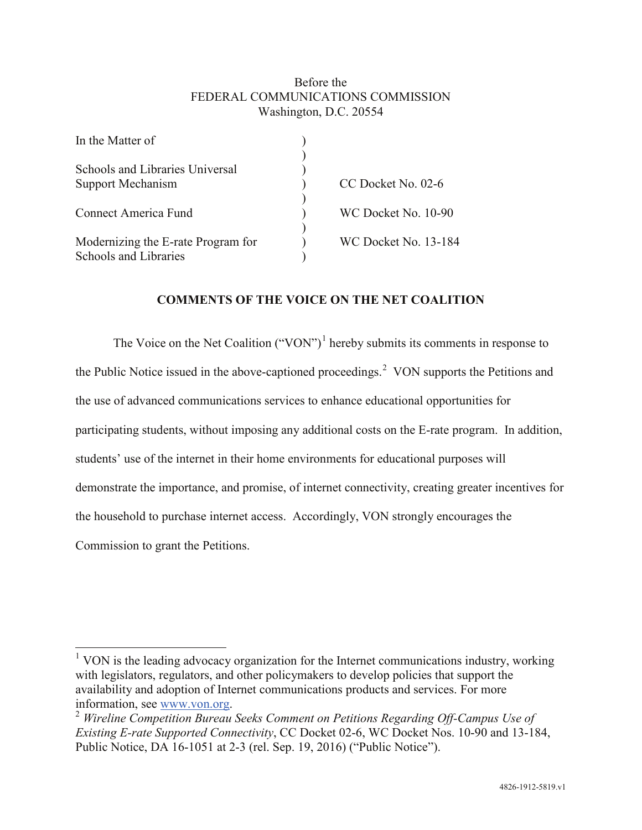## Before the FEDERAL COMMUNICATIONS COMMISSION Washington, D.C. 20554

| In the Matter of                   |                             |
|------------------------------------|-----------------------------|
|                                    |                             |
| Schools and Libraries Universal    |                             |
| <b>Support Mechanism</b>           | CC Docket No. 02-6          |
|                                    |                             |
| Connect America Fund               | WC Docket No. 10-90         |
|                                    |                             |
| Modernizing the E-rate Program for | <b>WC Docket No. 13-184</b> |
| Schools and Libraries              |                             |
|                                    |                             |

## **COMMENTS OF THE VOICE ON THE NET COALITION**

The Voice on the Net Coalition ("VON")<sup>1</sup> hereby submits its comments in response to the Public Notice issued in the above-captioned proceedings.<sup>2</sup> VON supports the Petitions and the use of advanced communications services to enhance educational opportunities for participating students, without imposing any additional costs on the E-rate program. In addition, students' use of the internet in their home environments for educational purposes will demonstrate the importance, and promise, of internet connectivity, creating greater incentives for the household to purchase internet access. Accordingly, VON strongly encourages the Commission to grant the Petitions.

<sup>&</sup>lt;sup>1</sup> VON is the leading advocacy organization for the Internet communications industry, working with legislators, regulators, and other policymakers to develop policies that support the availability and adoption of Internet communications products and services. For more information, see www.von.org.

<sup>&</sup>lt;sup>2</sup> *Wireline Competition Bureau Seeks Comment on Petitions Regarding Off-Campus Use of Existing E-rate Supported Connectivity*, CC Docket 02-6, WC Docket Nos. 10-90 and 13-184, Public Notice, DA 16-1051 at 2-3 (rel. Sep. 19, 2016) ("Public Notice").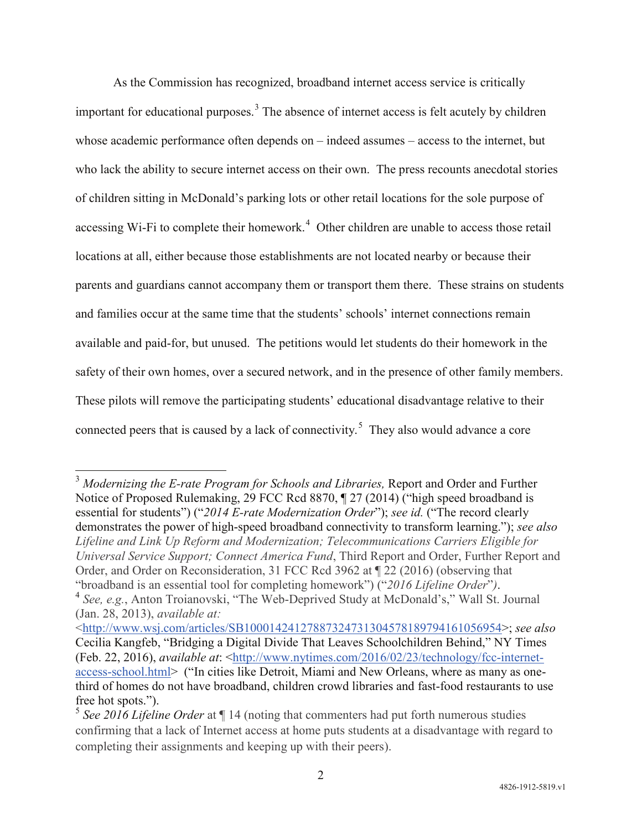As the Commission has recognized, broadband internet access service is critically important for educational purposes.<sup>3</sup> The absence of internet access is felt acutely by children whose academic performance often depends on – indeed assumes – access to the internet, but who lack the ability to secure internet access on their own. The press recounts anecdotal stories of children sitting in McDonald's parking lots or other retail locations for the sole purpose of accessing Wi-Fi to complete their homework.<sup>4</sup> Other children are unable to access those retail locations at all, either because those establishments are not located nearby or because their parents and guardians cannot accompany them or transport them there. These strains on students and families occur at the same time that the students' schools' internet connections remain available and paid-for, but unused. The petitions would let students do their homework in the safety of their own homes, over a secured network, and in the presence of other family members. These pilots will remove the participating students' educational disadvantage relative to their connected peers that is caused by a lack of connectivity.<sup>5</sup> They also would advance a core

<sup>&</sup>lt;sup>3</sup> Modernizing the E-rate Program for Schools and Libraries, Report and Order and Further Notice of Proposed Rulemaking, 29 FCC Rcd 8870, ¶ 27 (2014) ("high speed broadband is essential for students") ("*2014 E-rate Modernization Order*"); *see id.* ("The record clearly demonstrates the power of high-speed broadband connectivity to transform learning."); *see also Lifeline and Link Up Reform and Modernization; Telecommunications Carriers Eligible for Universal Service Support; Connect America Fund*, Third Report and Order, Further Report and Order, and Order on Reconsideration, 31 FCC Rcd 3962 at ¶ 22 (2016) (observing that "broadband is an essential tool for completing homework") ("*2016 Lifeline Order*"*)*. <sup>4</sup> *See, e.g.*, Anton Troianovski, "The Web-Deprived Study at McDonald's," Wall St. Journal (Jan. 28, 2013), *available at:*

<sup>&</sup>lt;http://www.wsj.com/articles/SB10001424127887324731304578189794161056954>; *see also* Cecilia Kangfeb, "Bridging a Digital Divide That Leaves Schoolchildren Behind," NY Times (Feb. 22, 2016), *available at*: <http://www.nytimes.com/2016/02/23/technology/fcc-internetaccess-school.html> ("In cities like Detroit, Miami and New Orleans, where as many as onethird of homes do not have broadband, children crowd libraries and fast-food restaurants to use free hot spots.").

<sup>5</sup> *See 2016 Lifeline Order* at ¶ 14 (noting that commenters had put forth numerous studies confirming that a lack of Internet access at home puts students at a disadvantage with regard to completing their assignments and keeping up with their peers).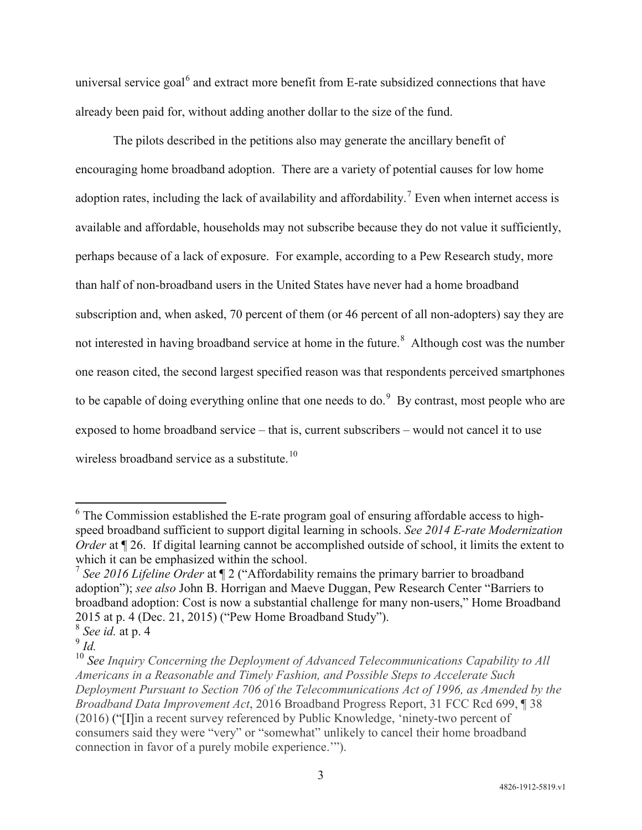universal service goal<sup>6</sup> and extract more benefit from E-rate subsidized connections that have already been paid for, without adding another dollar to the size of the fund.

The pilots described in the petitions also may generate the ancillary benefit of encouraging home broadband adoption. There are a variety of potential causes for low home adoption rates, including the lack of availability and affordability.<sup>7</sup> Even when internet access is available and affordable, households may not subscribe because they do not value it sufficiently, perhaps because of a lack of exposure. For example, according to a Pew Research study, more than half of non-broadband users in the United States have never had a home broadband subscription and, when asked, 70 percent of them (or 46 percent of all non-adopters) say they are not interested in having broadband service at home in the future.<sup>8</sup> Although cost was the number one reason cited, the second largest specified reason was that respondents perceived smartphones to be capable of doing everything online that one needs to do. $9\,$  By contrast, most people who are exposed to home broadband service – that is, current subscribers – would not cancel it to use wireless broadband service as a substitute.<sup>10</sup>

 $6$  The Commission established the E-rate program goal of ensuring affordable access to highspeed broadband sufficient to support digital learning in schools. *See 2014 E-rate Modernization Order* at  $\mathbb{I}$  26. If digital learning cannot be accomplished outside of school, it limits the extent to which it can be emphasized within the school.

<sup>7</sup> *See 2016 Lifeline Order* at ¶ 2 ("Affordability remains the primary barrier to broadband adoption"); *see also* John B. Horrigan and Maeve Duggan, Pew Research Center "Barriers to broadband adoption: Cost is now a substantial challenge for many non-users," Home Broadband 2015 at p. 4 (Dec. 21, 2015) ("Pew Home Broadband Study").

<sup>8</sup> *See id.* at p. 4

 $\int_{0}^{\infty} I d$ .

<sup>10</sup> *See Inquiry Concerning the Deployment of Advanced Telecommunications Capability to All Americans in a Reasonable and Timely Fashion, and Possible Steps to Accelerate Such Deployment Pursuant to Section 706 of the Telecommunications Act of 1996, as Amended by the Broadband Data Improvement Act*, 2016 Broadband Progress Report, 31 FCC Rcd 699, ¶ 38 (2016) ("[I]in a recent survey referenced by Public Knowledge, 'ninety-two percent of consumers said they were "very" or "somewhat" unlikely to cancel their home broadband connection in favor of a purely mobile experience.'").